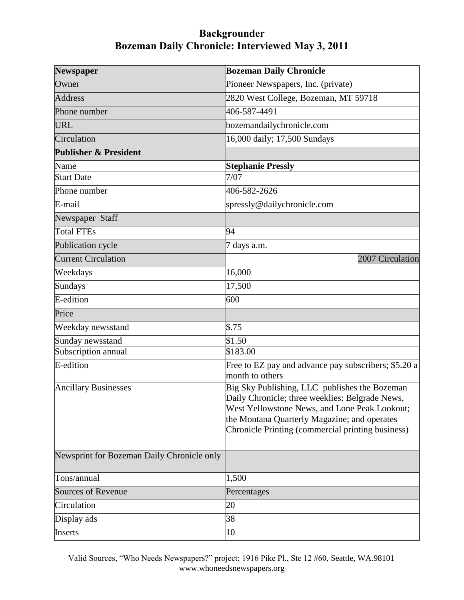| <b>Newspaper</b>                           | <b>Bozeman Daily Chronicle</b>                                                                                                                                                                                                                         |
|--------------------------------------------|--------------------------------------------------------------------------------------------------------------------------------------------------------------------------------------------------------------------------------------------------------|
| Owner                                      | Pioneer Newspapers, Inc. (private)                                                                                                                                                                                                                     |
| <b>Address</b>                             | 2820 West College, Bozeman, MT 59718                                                                                                                                                                                                                   |
| Phone number                               | 406-587-4491                                                                                                                                                                                                                                           |
| <b>URL</b>                                 | bozemandailychronicle.com                                                                                                                                                                                                                              |
| Circulation                                | 16,000 daily; 17,500 Sundays                                                                                                                                                                                                                           |
| <b>Publisher &amp; President</b>           |                                                                                                                                                                                                                                                        |
| Name                                       | <b>Stephanie Pressly</b>                                                                                                                                                                                                                               |
| <b>Start Date</b>                          | 7/07                                                                                                                                                                                                                                                   |
| Phone number                               | 406-582-2626                                                                                                                                                                                                                                           |
| E-mail                                     | spressly@dailychronicle.com                                                                                                                                                                                                                            |
| Newspaper Staff                            |                                                                                                                                                                                                                                                        |
| <b>Total FTEs</b>                          | 94                                                                                                                                                                                                                                                     |
| Publication cycle                          | 7 days a.m.                                                                                                                                                                                                                                            |
| <b>Current Circulation</b>                 | 2007 Circulation                                                                                                                                                                                                                                       |
| Weekdays                                   | 16,000                                                                                                                                                                                                                                                 |
| Sundays                                    | 17,500                                                                                                                                                                                                                                                 |
| E-edition                                  | 600                                                                                                                                                                                                                                                    |
| Price                                      |                                                                                                                                                                                                                                                        |
| Weekday newsstand                          | \$.75                                                                                                                                                                                                                                                  |
| Sunday newsstand                           | \$1.50                                                                                                                                                                                                                                                 |
| Subscription annual                        | \$183.00                                                                                                                                                                                                                                               |
| E-edition                                  | Free to EZ pay and advance pay subscribers; \$5.20 a<br>month to others                                                                                                                                                                                |
| <b>Ancillary Businesses</b>                | Big Sky Publishing, LLC publishes the Bozeman<br>Daily Chronicle; three weeklies: Belgrade News,<br>West Yellowstone News, and Lone Peak Lookout;<br>the Montana Quarterly Magazine; and operates<br>Chronicle Printing (commercial printing business) |
| Newsprint for Bozeman Daily Chronicle only |                                                                                                                                                                                                                                                        |
| Tons/annual                                | 1,500                                                                                                                                                                                                                                                  |
| <b>Sources of Revenue</b>                  | Percentages                                                                                                                                                                                                                                            |
| Circulation                                | 20                                                                                                                                                                                                                                                     |
| Display ads                                | 38                                                                                                                                                                                                                                                     |
| Inserts                                    | 10                                                                                                                                                                                                                                                     |

Valid Sources, "Who Needs Newspapers?" project; 1916 Pike Pl., Ste 12 #60, Seattle, WA.98101 www.whoneedsnewspapers.org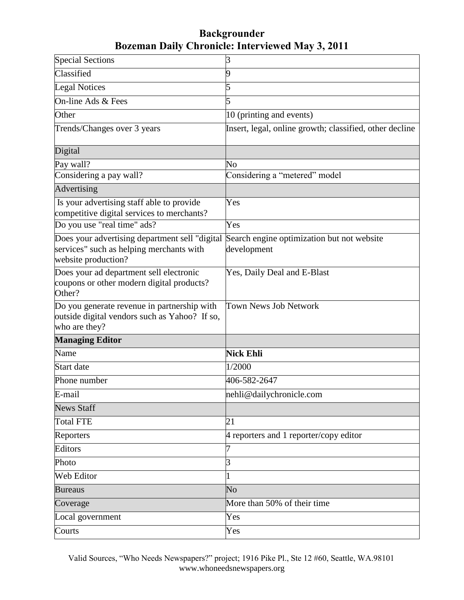| <b>Special Sections</b>                                                                                           | 3                                                         |
|-------------------------------------------------------------------------------------------------------------------|-----------------------------------------------------------|
| Classified                                                                                                        | 9                                                         |
| <b>Legal Notices</b>                                                                                              | 5                                                         |
| On-line Ads & Fees                                                                                                | 5                                                         |
| Other                                                                                                             | 10 (printing and events)                                  |
| Trends/Changes over 3 years                                                                                       | Insert, legal, online growth; classified, other decline   |
| Digital                                                                                                           |                                                           |
| Pay wall?                                                                                                         | $\overline{\text{No}}$                                    |
| Considering a pay wall?                                                                                           | Considering a "metered" model                             |
| Advertising                                                                                                       |                                                           |
| Is your advertising staff able to provide<br>competitive digital services to merchants?                           | Yes                                                       |
| Do you use "real time" ads?                                                                                       | Yes                                                       |
| Does your advertising department sell "digital<br>services" such as helping merchants with<br>website production? | Search engine optimization but not website<br>development |
| Does your ad department sell electronic<br>coupons or other modern digital products?<br>Other?                    | Yes, Daily Deal and E-Blast                               |
| Do you generate revenue in partnership with<br>outside digital vendors such as Yahoo? If so,<br>who are they?     | Town News Job Network                                     |
| <b>Managing Editor</b>                                                                                            |                                                           |
| Name                                                                                                              | <b>Nick Ehli</b>                                          |
| <b>Start</b> date                                                                                                 | 1/2000                                                    |
| Phone number                                                                                                      | 406-582-2647                                              |
| E-mail                                                                                                            | nehli@dailychronicle.com                                  |
| <b>News Staff</b>                                                                                                 |                                                           |
| <b>Total FTE</b>                                                                                                  | 21                                                        |
| Reporters                                                                                                         | 4 reporters and 1 reporter/copy editor                    |
| Editors                                                                                                           | 7                                                         |
| Photo                                                                                                             | 3                                                         |
| Web Editor                                                                                                        | 1                                                         |
| <b>Bureaus</b>                                                                                                    | No                                                        |
| Coverage                                                                                                          | More than 50% of their time                               |
| Local government                                                                                                  | Yes                                                       |
| Courts                                                                                                            | Yes                                                       |

Valid Sources, "Who Needs Newspapers?" project; 1916 Pike Pl., Ste 12 #60, Seattle, WA.98101 www.whoneedsnewspapers.org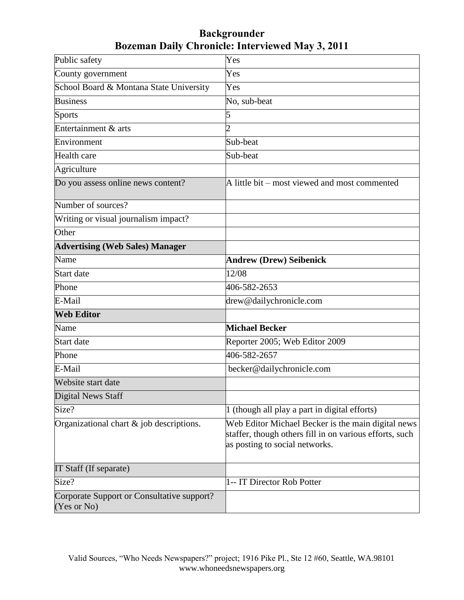| Public safety                                             | Yes                                                                                                                                             |
|-----------------------------------------------------------|-------------------------------------------------------------------------------------------------------------------------------------------------|
| County government                                         | Yes                                                                                                                                             |
| School Board & Montana State University                   | Yes                                                                                                                                             |
| <b>Business</b>                                           | No, sub-beat                                                                                                                                    |
| Sports                                                    | 5                                                                                                                                               |
| Entertainment & arts                                      | $\overline{2}$                                                                                                                                  |
| Environment                                               | Sub-beat                                                                                                                                        |
| Health care                                               | Sub-beat                                                                                                                                        |
| Agriculture                                               |                                                                                                                                                 |
| Do you assess online news content?                        | A little bit – most viewed and most commented                                                                                                   |
| Number of sources?                                        |                                                                                                                                                 |
| Writing or visual journalism impact?                      |                                                                                                                                                 |
| Other                                                     |                                                                                                                                                 |
| <b>Advertising (Web Sales) Manager</b>                    |                                                                                                                                                 |
| Name                                                      | <b>Andrew (Drew) Seibenick</b>                                                                                                                  |
| Start date                                                | 12/08                                                                                                                                           |
| Phone                                                     | 406-582-2653                                                                                                                                    |
| E-Mail                                                    | drew@dailychronicle.com                                                                                                                         |
| <b>Web Editor</b>                                         |                                                                                                                                                 |
| Name                                                      | <b>Michael Becker</b>                                                                                                                           |
| Start date                                                | Reporter 2005; Web Editor 2009                                                                                                                  |
| Phone                                                     | 406-582-2657                                                                                                                                    |
| E-Mail                                                    | becker@dailychronicle.com                                                                                                                       |
| Website start date                                        |                                                                                                                                                 |
| <b>Digital News Staff</b>                                 |                                                                                                                                                 |
| Size?                                                     | 1 (though all play a part in digital efforts)                                                                                                   |
| Organizational chart $\&$ job descriptions.               | Web Editor Michael Becker is the main digital news<br>staffer, though others fill in on various efforts, such<br>as posting to social networks. |
| IT Staff (If separate)                                    |                                                                                                                                                 |
| Size?                                                     | 1-- IT Director Rob Potter                                                                                                                      |
| Corporate Support or Consultative support?<br>(Yes or No) |                                                                                                                                                 |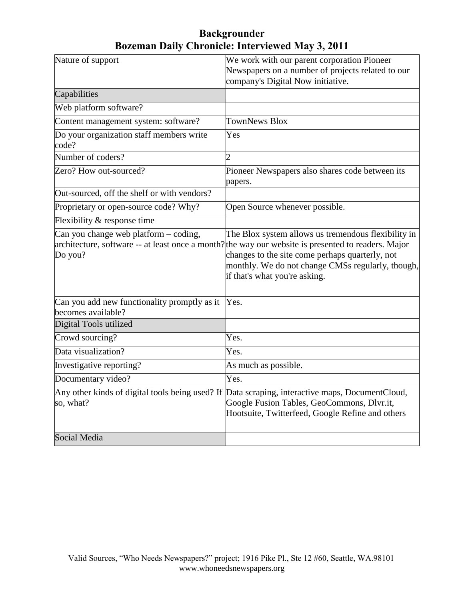| Nature of support                                                  | We work with our parent corporation Pioneer                                                                                                                                                                                                                                                         |
|--------------------------------------------------------------------|-----------------------------------------------------------------------------------------------------------------------------------------------------------------------------------------------------------------------------------------------------------------------------------------------------|
|                                                                    | Newspapers on a number of projects related to our                                                                                                                                                                                                                                                   |
|                                                                    | company's Digital Now initiative.                                                                                                                                                                                                                                                                   |
| Capabilities                                                       |                                                                                                                                                                                                                                                                                                     |
| Web platform software?                                             |                                                                                                                                                                                                                                                                                                     |
| Content management system: software?                               | <b>TownNews Blox</b>                                                                                                                                                                                                                                                                                |
| Do your organization staff members write<br>code?                  | Yes                                                                                                                                                                                                                                                                                                 |
| Number of coders?                                                  | $\overline{2}$                                                                                                                                                                                                                                                                                      |
| Zero? How out-sourced?                                             | Pioneer Newspapers also shares code between its<br>papers.                                                                                                                                                                                                                                          |
| Out-sourced, off the shelf or with vendors?                        |                                                                                                                                                                                                                                                                                                     |
| Proprietary or open-source code? Why?                              | Open Source whenever possible.                                                                                                                                                                                                                                                                      |
| Flexibility & response time                                        |                                                                                                                                                                                                                                                                                                     |
| Can you change web platform $-$ coding,<br>Do you?                 | The Blox system allows us tremendous flexibility in<br>architecture, software -- at least once a month? the way our website is presented to readers. Major<br>changes to the site come perhaps quarterly, not<br>monthly. We do not change CMSs regularly, though,<br>if that's what you're asking. |
| Can you add new functionality promptly as it<br>becomes available? | Yes.                                                                                                                                                                                                                                                                                                |
| Digital Tools utilized                                             |                                                                                                                                                                                                                                                                                                     |
| Crowd sourcing?                                                    | Yes.                                                                                                                                                                                                                                                                                                |
| Data visualization?                                                | Yes.                                                                                                                                                                                                                                                                                                |
| Investigative reporting?                                           | As much as possible.                                                                                                                                                                                                                                                                                |
| Documentary video?                                                 | Yes.                                                                                                                                                                                                                                                                                                |
| so, what?                                                          | Any other kinds of digital tools being used? If Data scraping, interactive maps, DocumentCloud,<br>Google Fusion Tables, GeoCommons, Dlvr.it,<br>Hootsuite, Twitterfeed, Google Refine and others                                                                                                   |
| Social Media                                                       |                                                                                                                                                                                                                                                                                                     |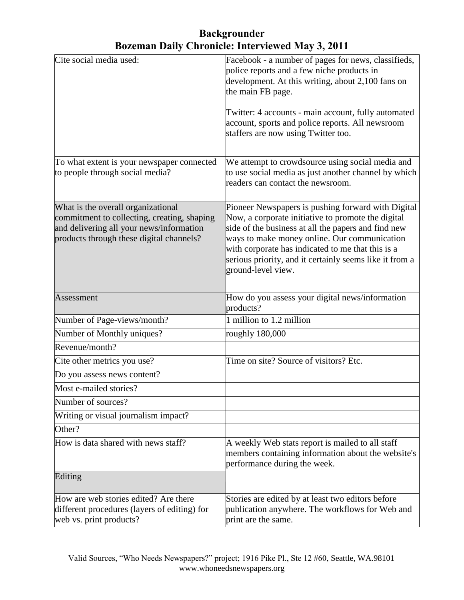| Cite social media used:                                                                                                                                                   | Facebook - a number of pages for news, classifieds,<br>police reports and a few niche products in<br>development. At this writing, about 2,100 fans on<br>the main FB page.<br>Twitter: 4 accounts - main account, fully automated<br>account, sports and police reports. All newsroom<br>staffers are now using Twitter too.                         |
|---------------------------------------------------------------------------------------------------------------------------------------------------------------------------|-------------------------------------------------------------------------------------------------------------------------------------------------------------------------------------------------------------------------------------------------------------------------------------------------------------------------------------------------------|
| To what extent is your newspaper connected<br>to people through social media?                                                                                             | We attempt to crowdsource using social media and<br>to use social media as just another channel by which<br>readers can contact the newsroom.                                                                                                                                                                                                         |
| What is the overall organizational<br>commitment to collecting, creating, shaping<br>and delivering all your news/information<br>products through these digital channels? | Pioneer Newspapers is pushing forward with Digital<br>Now, a corporate initiative to promote the digital<br>side of the business at all the papers and find new<br>ways to make money online. Our communication<br>with corporate has indicated to me that this is a<br>serious priority, and it certainly seems like it from a<br>ground-level view. |
| Assessment                                                                                                                                                                | How do you assess your digital news/information<br>products?                                                                                                                                                                                                                                                                                          |
| Number of Page-views/month?                                                                                                                                               | 1 million to 1.2 million                                                                                                                                                                                                                                                                                                                              |
| Number of Monthly uniques?                                                                                                                                                | roughly 180,000                                                                                                                                                                                                                                                                                                                                       |
| Revenue/month?                                                                                                                                                            |                                                                                                                                                                                                                                                                                                                                                       |
| Cite other metrics you use?                                                                                                                                               | Time on site? Source of visitors? Etc.                                                                                                                                                                                                                                                                                                                |
| Do you assess news content?                                                                                                                                               |                                                                                                                                                                                                                                                                                                                                                       |
| Most e-mailed stories?                                                                                                                                                    |                                                                                                                                                                                                                                                                                                                                                       |
| Number of sources?                                                                                                                                                        |                                                                                                                                                                                                                                                                                                                                                       |
| Writing or visual journalism impact?                                                                                                                                      |                                                                                                                                                                                                                                                                                                                                                       |
| Other?                                                                                                                                                                    |                                                                                                                                                                                                                                                                                                                                                       |
| How is data shared with news staff?                                                                                                                                       | A weekly Web stats report is mailed to all staff<br>members containing information about the website's<br>performance during the week.                                                                                                                                                                                                                |
| Editing                                                                                                                                                                   |                                                                                                                                                                                                                                                                                                                                                       |
| How are web stories edited? Are there<br>different procedures (layers of editing) for<br>web vs. print products?                                                          | Stories are edited by at least two editors before<br>publication anywhere. The workflows for Web and<br>print are the same.                                                                                                                                                                                                                           |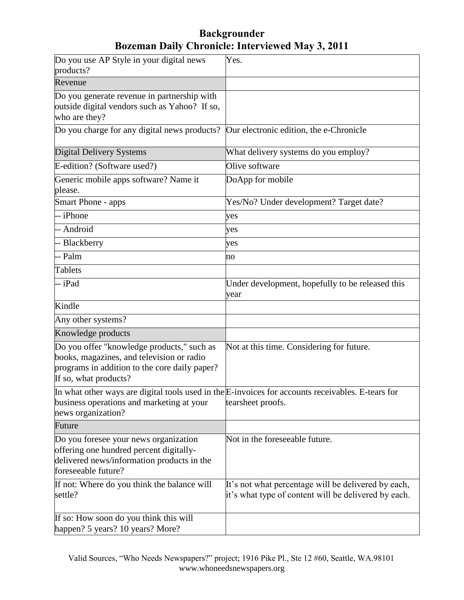| Do you use AP Style in your digital news<br>products?                                                                                                             | Yes.                                                                                                                   |
|-------------------------------------------------------------------------------------------------------------------------------------------------------------------|------------------------------------------------------------------------------------------------------------------------|
| Revenue                                                                                                                                                           |                                                                                                                        |
| Do you generate revenue in partnership with<br>outside digital vendors such as Yahoo? If so,<br>who are they?                                                     |                                                                                                                        |
| Do you charge for any digital news products?                                                                                                                      | Our electronic edition, the e-Chronicle                                                                                |
| <b>Digital Delivery Systems</b>                                                                                                                                   | What delivery systems do you employ?                                                                                   |
| E-edition? (Software used?)                                                                                                                                       | Olive software                                                                                                         |
| Generic mobile apps software? Name it<br>please.                                                                                                                  | DoApp for mobile                                                                                                       |
| Smart Phone - apps                                                                                                                                                | Yes/No? Under development? Target date?                                                                                |
| -- iPhone                                                                                                                                                         | yes                                                                                                                    |
| -- Android                                                                                                                                                        | yes                                                                                                                    |
| -- Blackberry                                                                                                                                                     | yes                                                                                                                    |
| -- Palm                                                                                                                                                           | no                                                                                                                     |
| <b>Tablets</b>                                                                                                                                                    |                                                                                                                        |
| -- iPad                                                                                                                                                           | Under development, hopefully to be released this<br>year                                                               |
| Kindle                                                                                                                                                            |                                                                                                                        |
| Any other systems?                                                                                                                                                |                                                                                                                        |
| Knowledge products                                                                                                                                                |                                                                                                                        |
| Do you offer "knowledge products," such as<br>books, magazines, and television or radio<br>programs in addition to the core daily paper?<br>If so, what products? | Not at this time. Considering for future.                                                                              |
| business operations and marketing at your<br>news organization?                                                                                                   | In what other ways are digital tools used in the E-invoices for accounts receivables. E-tears for<br>tearsheet proofs. |
| Future                                                                                                                                                            |                                                                                                                        |
| Do you foresee your news organization<br>offering one hundred percent digitally-<br>delivered news/information products in the<br>foreseeable future?             | Not in the foreseeable future.                                                                                         |
| If not: Where do you think the balance will<br>settle?                                                                                                            | It's not what percentage will be delivered by each,<br>it's what type of content will be delivered by each.            |
| If so: How soon do you think this will<br>happen? 5 years? 10 years? More?                                                                                        |                                                                                                                        |